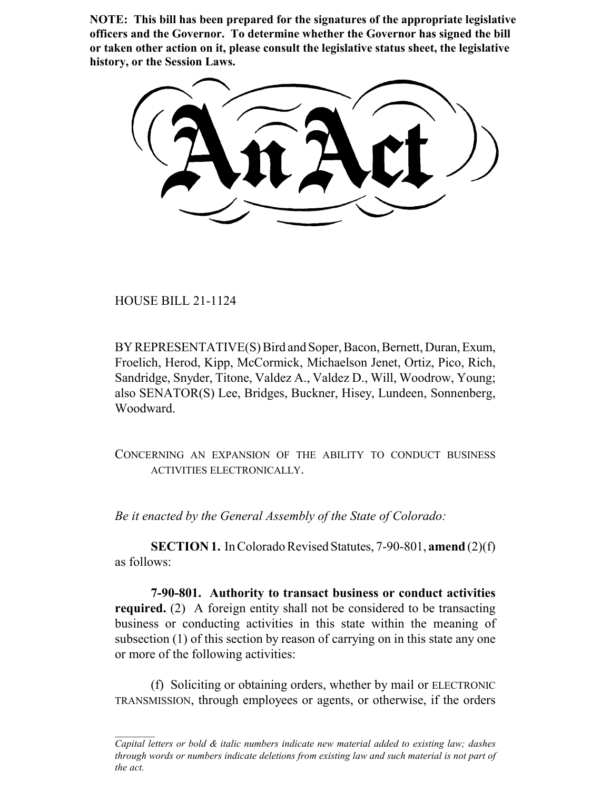**NOTE: This bill has been prepared for the signatures of the appropriate legislative officers and the Governor. To determine whether the Governor has signed the bill or taken other action on it, please consult the legislative status sheet, the legislative history, or the Session Laws.**

HOUSE BILL 21-1124

BY REPRESENTATIVE(S) Bird and Soper, Bacon, Bernett, Duran, Exum, Froelich, Herod, Kipp, McCormick, Michaelson Jenet, Ortiz, Pico, Rich, Sandridge, Snyder, Titone, Valdez A., Valdez D., Will, Woodrow, Young; also SENATOR(S) Lee, Bridges, Buckner, Hisey, Lundeen, Sonnenberg, Woodward.

CONCERNING AN EXPANSION OF THE ABILITY TO CONDUCT BUSINESS ACTIVITIES ELECTRONICALLY.

*Be it enacted by the General Assembly of the State of Colorado:*

**SECTION 1.** In Colorado Revised Statutes, 7-90-801, **amend** (2)(f) as follows:

**7-90-801. Authority to transact business or conduct activities required.** (2) A foreign entity shall not be considered to be transacting business or conducting activities in this state within the meaning of subsection (1) of this section by reason of carrying on in this state any one or more of the following activities:

(f) Soliciting or obtaining orders, whether by mail or ELECTRONIC TRANSMISSION, through employees or agents, or otherwise, if the orders

*Capital letters or bold & italic numbers indicate new material added to existing law; dashes through words or numbers indicate deletions from existing law and such material is not part of the act.*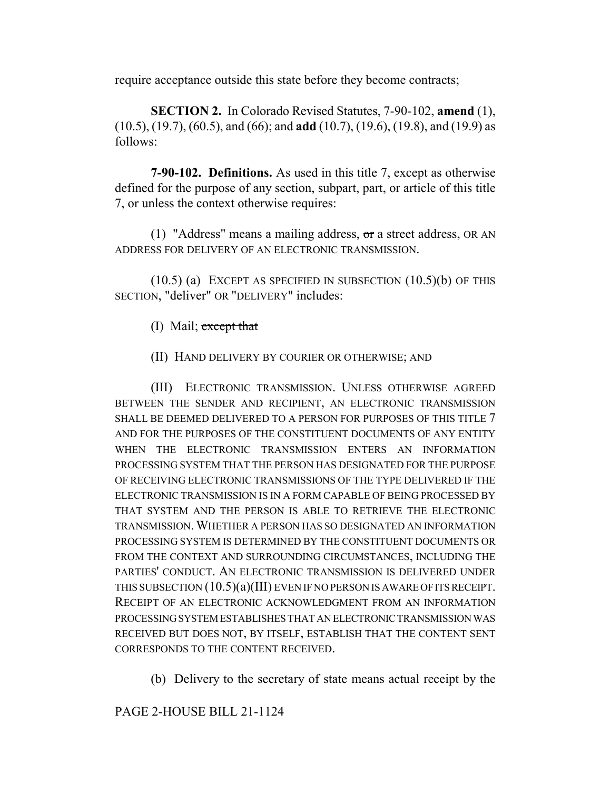require acceptance outside this state before they become contracts;

**SECTION 2.** In Colorado Revised Statutes, 7-90-102, **amend** (1), (10.5), (19.7), (60.5), and (66); and **add** (10.7), (19.6), (19.8), and (19.9) as follows:

**7-90-102. Definitions.** As used in this title 7, except as otherwise defined for the purpose of any section, subpart, part, or article of this title 7, or unless the context otherwise requires:

(1) "Address" means a mailing address,  $\sigma$ r a street address, OR AN ADDRESS FOR DELIVERY OF AN ELECTRONIC TRANSMISSION.

 $(10.5)$  (a) EXCEPT AS SPECIFIED IN SUBSECTION  $(10.5)$ (b) OF THIS SECTION, "deliver" OR "DELIVERY" includes:

(I) Mail; except that

(II) HAND DELIVERY BY COURIER OR OTHERWISE; AND

(III) ELECTRONIC TRANSMISSION. UNLESS OTHERWISE AGREED BETWEEN THE SENDER AND RECIPIENT, AN ELECTRONIC TRANSMISSION SHALL BE DEEMED DELIVERED TO A PERSON FOR PURPOSES OF THIS TITLE 7 AND FOR THE PURPOSES OF THE CONSTITUENT DOCUMENTS OF ANY ENTITY WHEN THE ELECTRONIC TRANSMISSION ENTERS AN INFORMATION PROCESSING SYSTEM THAT THE PERSON HAS DESIGNATED FOR THE PURPOSE OF RECEIVING ELECTRONIC TRANSMISSIONS OF THE TYPE DELIVERED IF THE ELECTRONIC TRANSMISSION IS IN A FORM CAPABLE OF BEING PROCESSED BY THAT SYSTEM AND THE PERSON IS ABLE TO RETRIEVE THE ELECTRONIC TRANSMISSION. WHETHER A PERSON HAS SO DESIGNATED AN INFORMATION PROCESSING SYSTEM IS DETERMINED BY THE CONSTITUENT DOCUMENTS OR FROM THE CONTEXT AND SURROUNDING CIRCUMSTANCES, INCLUDING THE PARTIES' CONDUCT. AN ELECTRONIC TRANSMISSION IS DELIVERED UNDER THIS SUBSECTION (10.5)(a)(III) EVEN IF NO PERSON IS AWARE OF ITS RECEIPT. RECEIPT OF AN ELECTRONIC ACKNOWLEDGMENT FROM AN INFORMATION PROCESSING SYSTEM ESTABLISHES THAT AN ELECTRONIC TRANSMISSION WAS RECEIVED BUT DOES NOT, BY ITSELF, ESTABLISH THAT THE CONTENT SENT CORRESPONDS TO THE CONTENT RECEIVED.

(b) Delivery to the secretary of state means actual receipt by the

PAGE 2-HOUSE BILL 21-1124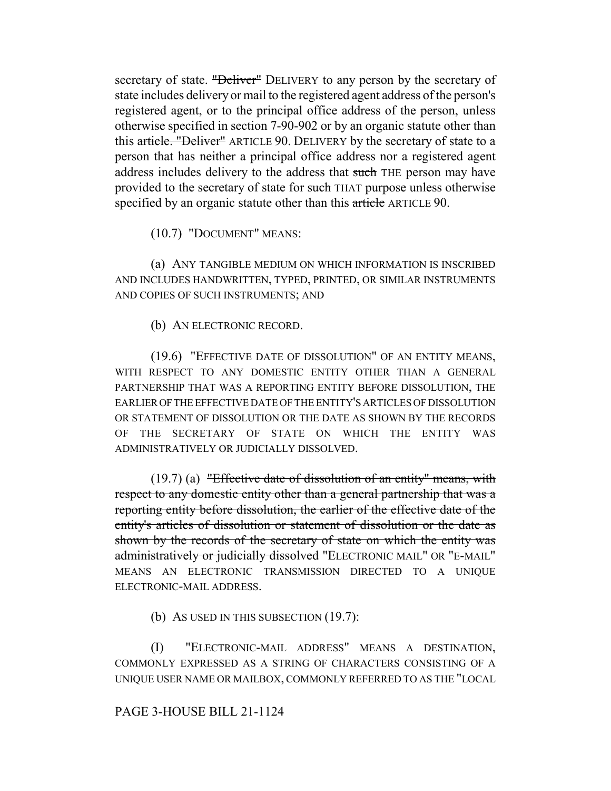secretary of state. "Deliver" DELIVERY to any person by the secretary of state includes delivery or mail to the registered agent address of the person's registered agent, or to the principal office address of the person, unless otherwise specified in section 7-90-902 or by an organic statute other than this article. "Deliver" ARTICLE 90. DELIVERY by the secretary of state to a person that has neither a principal office address nor a registered agent address includes delivery to the address that such THE person may have provided to the secretary of state for such THAT purpose unless otherwise specified by an organic statute other than this article ARTICLE 90.

(10.7) "DOCUMENT" MEANS:

(a) ANY TANGIBLE MEDIUM ON WHICH INFORMATION IS INSCRIBED AND INCLUDES HANDWRITTEN, TYPED, PRINTED, OR SIMILAR INSTRUMENTS AND COPIES OF SUCH INSTRUMENTS; AND

(b) AN ELECTRONIC RECORD.

(19.6) "EFFECTIVE DATE OF DISSOLUTION" OF AN ENTITY MEANS, WITH RESPECT TO ANY DOMESTIC ENTITY OTHER THAN A GENERAL PARTNERSHIP THAT WAS A REPORTING ENTITY BEFORE DISSOLUTION, THE EARLIER OF THE EFFECTIVE DATE OF THE ENTITY'S ARTICLES OF DISSOLUTION OR STATEMENT OF DISSOLUTION OR THE DATE AS SHOWN BY THE RECORDS OF THE SECRETARY OF STATE ON WHICH THE ENTITY WAS ADMINISTRATIVELY OR JUDICIALLY DISSOLVED.

 $(19.7)$  (a) "Effective date of dissolution of an entity" means, with respect to any domestic entity other than a general partnership that was a reporting entity before dissolution, the earlier of the effective date of the entity's articles of dissolution or statement of dissolution or the date as shown by the records of the secretary of state on which the entity was administratively or judicially dissolved "ELECTRONIC MAIL" OR "E-MAIL" MEANS AN ELECTRONIC TRANSMISSION DIRECTED TO A UNIQUE ELECTRONIC-MAIL ADDRESS.

(b) AS USED IN THIS SUBSECTION (19.7):

(I) "ELECTRONIC-MAIL ADDRESS" MEANS A DESTINATION, COMMONLY EXPRESSED AS A STRING OF CHARACTERS CONSISTING OF A UNIQUE USER NAME OR MAILBOX, COMMONLY REFERRED TO AS THE "LOCAL

# PAGE 3-HOUSE BILL 21-1124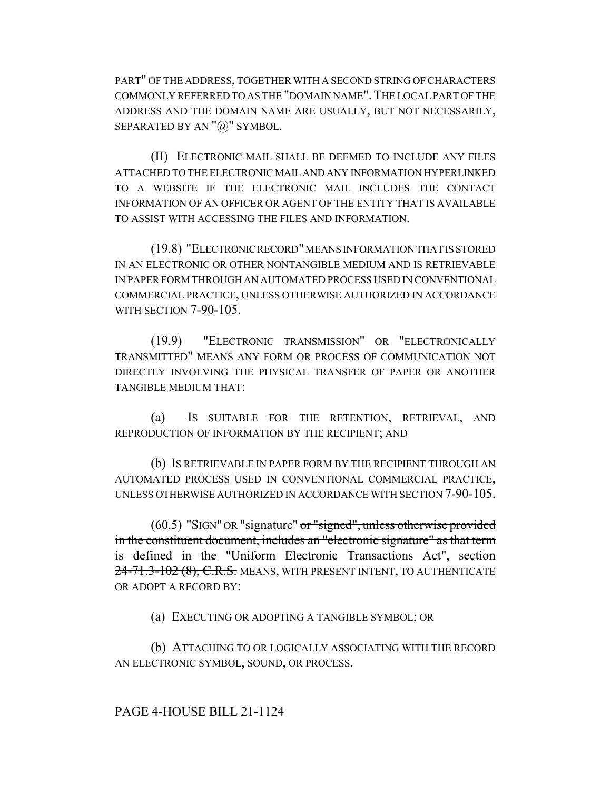PART" OF THE ADDRESS, TOGETHER WITH A SECOND STRING OF CHARACTERS COMMONLY REFERRED TO AS THE "DOMAIN NAME".THE LOCAL PART OF THE ADDRESS AND THE DOMAIN NAME ARE USUALLY, BUT NOT NECESSARILY, SEPARATED BY AN  $"@"$  SYMBOL.

(II) ELECTRONIC MAIL SHALL BE DEEMED TO INCLUDE ANY FILES ATTACHED TO THE ELECTRONIC MAIL AND ANY INFORMATION HYPERLINKED TO A WEBSITE IF THE ELECTRONIC MAIL INCLUDES THE CONTACT INFORMATION OF AN OFFICER OR AGENT OF THE ENTITY THAT IS AVAILABLE TO ASSIST WITH ACCESSING THE FILES AND INFORMATION.

(19.8) "ELECTRONIC RECORD" MEANS INFORMATION THAT IS STORED IN AN ELECTRONIC OR OTHER NONTANGIBLE MEDIUM AND IS RETRIEVABLE IN PAPER FORM THROUGH AN AUTOMATED PROCESS USED IN CONVENTIONAL COMMERCIAL PRACTICE, UNLESS OTHERWISE AUTHORIZED IN ACCORDANCE WITH SECTION 7-90-105.

(19.9) "ELECTRONIC TRANSMISSION" OR "ELECTRONICALLY TRANSMITTED" MEANS ANY FORM OR PROCESS OF COMMUNICATION NOT DIRECTLY INVOLVING THE PHYSICAL TRANSFER OF PAPER OR ANOTHER TANGIBLE MEDIUM THAT:

(a) IS SUITABLE FOR THE RETENTION, RETRIEVAL, AND REPRODUCTION OF INFORMATION BY THE RECIPIENT; AND

(b) IS RETRIEVABLE IN PAPER FORM BY THE RECIPIENT THROUGH AN AUTOMATED PROCESS USED IN CONVENTIONAL COMMERCIAL PRACTICE, UNLESS OTHERWISE AUTHORIZED IN ACCORDANCE WITH SECTION 7-90-105.

(60.5) "SIGN" OR "signature" or "signed", unless otherwise provided in the constituent document, includes an "electronic signature" as that term is defined in the "Uniform Electronic Transactions Act", section 24-71.3-102 (8), C.R.S. MEANS, WITH PRESENT INTENT, TO AUTHENTICATE OR ADOPT A RECORD BY:

(a) EXECUTING OR ADOPTING A TANGIBLE SYMBOL; OR

(b) ATTACHING TO OR LOGICALLY ASSOCIATING WITH THE RECORD AN ELECTRONIC SYMBOL, SOUND, OR PROCESS.

# PAGE 4-HOUSE BILL 21-1124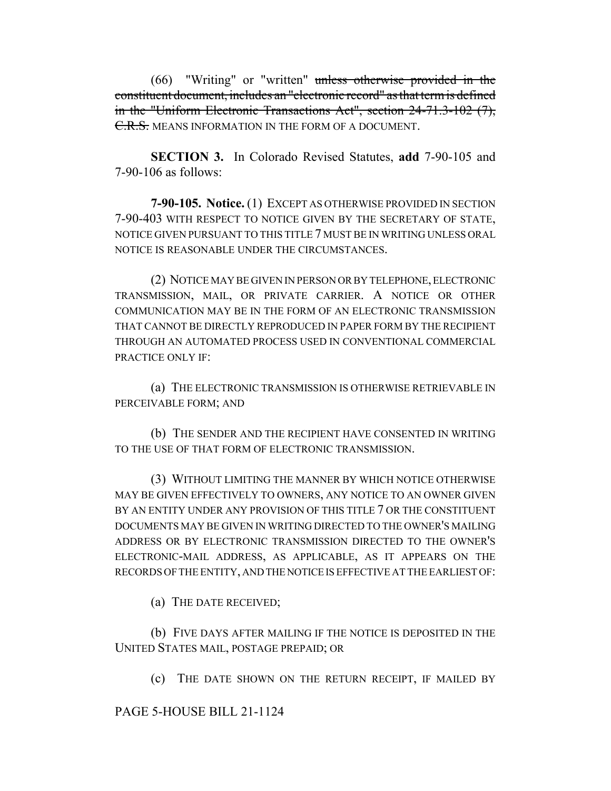(66) "Writing" or "written" unless otherwise provided in the constituent document, includes an "electronic record" as that term is defined in the "Uniform Electronic Transactions Act", section 24-71.3-102 (7), C.R.S. MEANS INFORMATION IN THE FORM OF A DOCUMENT.

**SECTION 3.** In Colorado Revised Statutes, **add** 7-90-105 and 7-90-106 as follows:

**7-90-105. Notice.** (1) EXCEPT AS OTHERWISE PROVIDED IN SECTION 7-90-403 WITH RESPECT TO NOTICE GIVEN BY THE SECRETARY OF STATE, NOTICE GIVEN PURSUANT TO THIS TITLE 7 MUST BE IN WRITING UNLESS ORAL NOTICE IS REASONABLE UNDER THE CIRCUMSTANCES.

(2) NOTICE MAY BE GIVEN IN PERSON OR BY TELEPHONE, ELECTRONIC TRANSMISSION, MAIL, OR PRIVATE CARRIER. A NOTICE OR OTHER COMMUNICATION MAY BE IN THE FORM OF AN ELECTRONIC TRANSMISSION THAT CANNOT BE DIRECTLY REPRODUCED IN PAPER FORM BY THE RECIPIENT THROUGH AN AUTOMATED PROCESS USED IN CONVENTIONAL COMMERCIAL PRACTICE ONLY IF:

(a) THE ELECTRONIC TRANSMISSION IS OTHERWISE RETRIEVABLE IN PERCEIVABLE FORM; AND

(b) THE SENDER AND THE RECIPIENT HAVE CONSENTED IN WRITING TO THE USE OF THAT FORM OF ELECTRONIC TRANSMISSION.

(3) WITHOUT LIMITING THE MANNER BY WHICH NOTICE OTHERWISE MAY BE GIVEN EFFECTIVELY TO OWNERS, ANY NOTICE TO AN OWNER GIVEN BY AN ENTITY UNDER ANY PROVISION OF THIS TITLE 7 OR THE CONSTITUENT DOCUMENTS MAY BE GIVEN IN WRITING DIRECTED TO THE OWNER'S MAILING ADDRESS OR BY ELECTRONIC TRANSMISSION DIRECTED TO THE OWNER'S ELECTRONIC-MAIL ADDRESS, AS APPLICABLE, AS IT APPEARS ON THE RECORDS OF THE ENTITY, AND THE NOTICE IS EFFECTIVE AT THE EARLIEST OF:

(a) THE DATE RECEIVED;

(b) FIVE DAYS AFTER MAILING IF THE NOTICE IS DEPOSITED IN THE UNITED STATES MAIL, POSTAGE PREPAID; OR

(c) THE DATE SHOWN ON THE RETURN RECEIPT, IF MAILED BY

PAGE 5-HOUSE BILL 21-1124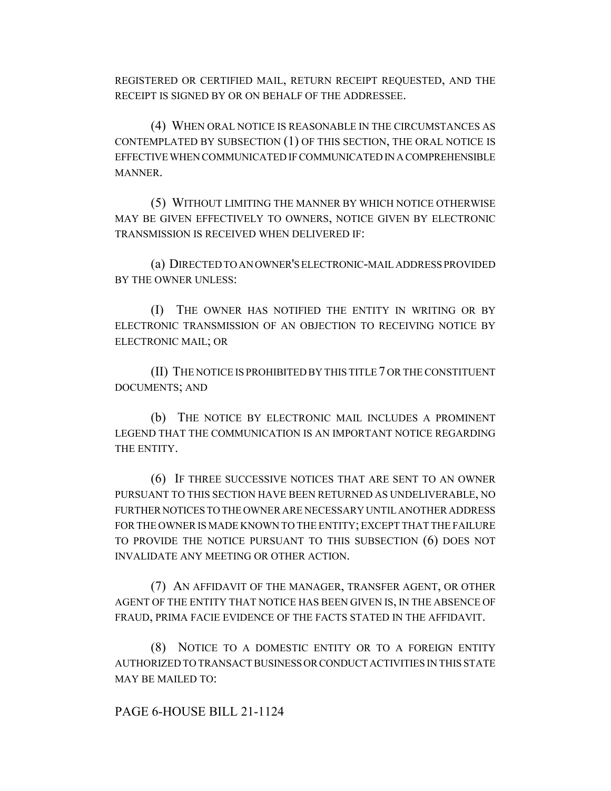REGISTERED OR CERTIFIED MAIL, RETURN RECEIPT REQUESTED, AND THE RECEIPT IS SIGNED BY OR ON BEHALF OF THE ADDRESSEE.

(4) WHEN ORAL NOTICE IS REASONABLE IN THE CIRCUMSTANCES AS CONTEMPLATED BY SUBSECTION (1) OF THIS SECTION, THE ORAL NOTICE IS EFFECTIVE WHEN COMMUNICATED IF COMMUNICATED IN A COMPREHENSIBLE MANNER.

(5) WITHOUT LIMITING THE MANNER BY WHICH NOTICE OTHERWISE MAY BE GIVEN EFFECTIVELY TO OWNERS, NOTICE GIVEN BY ELECTRONIC TRANSMISSION IS RECEIVED WHEN DELIVERED IF:

(a) DIRECTED TO AN OWNER'S ELECTRONIC-MAIL ADDRESS PROVIDED BY THE OWNER UNLESS:

(I) THE OWNER HAS NOTIFIED THE ENTITY IN WRITING OR BY ELECTRONIC TRANSMISSION OF AN OBJECTION TO RECEIVING NOTICE BY ELECTRONIC MAIL; OR

(II) THE NOTICE IS PROHIBITED BY THIS TITLE 7 OR THE CONSTITUENT DOCUMENTS; AND

(b) THE NOTICE BY ELECTRONIC MAIL INCLUDES A PROMINENT LEGEND THAT THE COMMUNICATION IS AN IMPORTANT NOTICE REGARDING THE ENTITY.

(6) IF THREE SUCCESSIVE NOTICES THAT ARE SENT TO AN OWNER PURSUANT TO THIS SECTION HAVE BEEN RETURNED AS UNDELIVERABLE, NO FURTHER NOTICES TO THE OWNER ARE NECESSARY UNTIL ANOTHER ADDRESS FOR THE OWNER IS MADE KNOWN TO THE ENTITY; EXCEPT THAT THE FAILURE TO PROVIDE THE NOTICE PURSUANT TO THIS SUBSECTION (6) DOES NOT INVALIDATE ANY MEETING OR OTHER ACTION.

(7) AN AFFIDAVIT OF THE MANAGER, TRANSFER AGENT, OR OTHER AGENT OF THE ENTITY THAT NOTICE HAS BEEN GIVEN IS, IN THE ABSENCE OF FRAUD, PRIMA FACIE EVIDENCE OF THE FACTS STATED IN THE AFFIDAVIT.

(8) NOTICE TO A DOMESTIC ENTITY OR TO A FOREIGN ENTITY AUTHORIZED TO TRANSACT BUSINESS OR CONDUCT ACTIVITIES IN THIS STATE MAY BE MAILED TO:

PAGE 6-HOUSE BILL 21-1124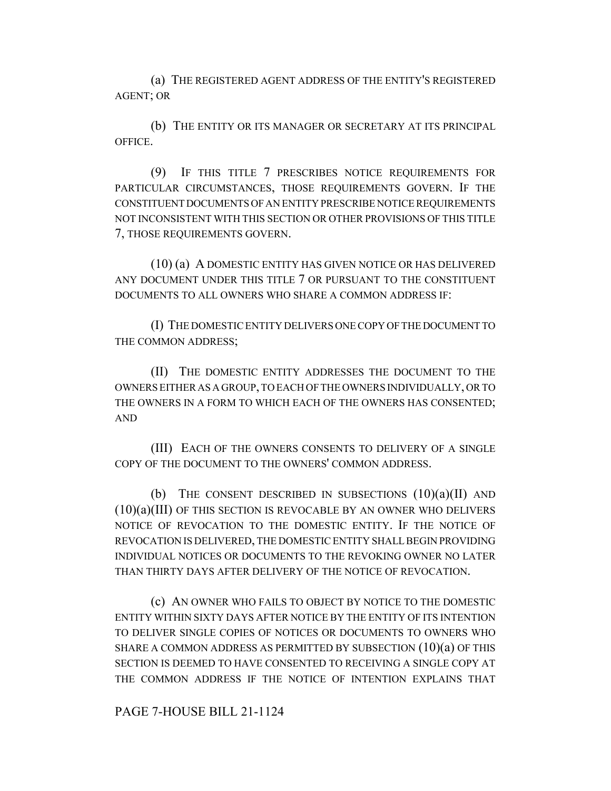(a) THE REGISTERED AGENT ADDRESS OF THE ENTITY'S REGISTERED AGENT; OR

(b) THE ENTITY OR ITS MANAGER OR SECRETARY AT ITS PRINCIPAL OFFICE.

(9) IF THIS TITLE 7 PRESCRIBES NOTICE REQUIREMENTS FOR PARTICULAR CIRCUMSTANCES, THOSE REQUIREMENTS GOVERN. IF THE CONSTITUENT DOCUMENTS OF AN ENTITY PRESCRIBE NOTICE REQUIREMENTS NOT INCONSISTENT WITH THIS SECTION OR OTHER PROVISIONS OF THIS TITLE 7, THOSE REQUIREMENTS GOVERN.

(10) (a) A DOMESTIC ENTITY HAS GIVEN NOTICE OR HAS DELIVERED ANY DOCUMENT UNDER THIS TITLE 7 OR PURSUANT TO THE CONSTITUENT DOCUMENTS TO ALL OWNERS WHO SHARE A COMMON ADDRESS IF:

(I) THE DOMESTIC ENTITY DELIVERS ONE COPY OF THE DOCUMENT TO THE COMMON ADDRESS;

(II) THE DOMESTIC ENTITY ADDRESSES THE DOCUMENT TO THE OWNERS EITHER AS A GROUP, TO EACH OF THE OWNERS INDIVIDUALLY, OR TO THE OWNERS IN A FORM TO WHICH EACH OF THE OWNERS HAS CONSENTED; AND

(III) EACH OF THE OWNERS CONSENTS TO DELIVERY OF A SINGLE COPY OF THE DOCUMENT TO THE OWNERS' COMMON ADDRESS.

(b) THE CONSENT DESCRIBED IN SUBSECTIONS  $(10)(a)(II)$  AND (10)(a)(III) OF THIS SECTION IS REVOCABLE BY AN OWNER WHO DELIVERS NOTICE OF REVOCATION TO THE DOMESTIC ENTITY. IF THE NOTICE OF REVOCATION IS DELIVERED, THE DOMESTIC ENTITY SHALL BEGIN PROVIDING INDIVIDUAL NOTICES OR DOCUMENTS TO THE REVOKING OWNER NO LATER THAN THIRTY DAYS AFTER DELIVERY OF THE NOTICE OF REVOCATION.

(c) AN OWNER WHO FAILS TO OBJECT BY NOTICE TO THE DOMESTIC ENTITY WITHIN SIXTY DAYS AFTER NOTICE BY THE ENTITY OF ITS INTENTION TO DELIVER SINGLE COPIES OF NOTICES OR DOCUMENTS TO OWNERS WHO SHARE A COMMON ADDRESS AS PERMITTED BY SUBSECTION  $(10)(a)$  OF THIS SECTION IS DEEMED TO HAVE CONSENTED TO RECEIVING A SINGLE COPY AT THE COMMON ADDRESS IF THE NOTICE OF INTENTION EXPLAINS THAT

PAGE 7-HOUSE BILL 21-1124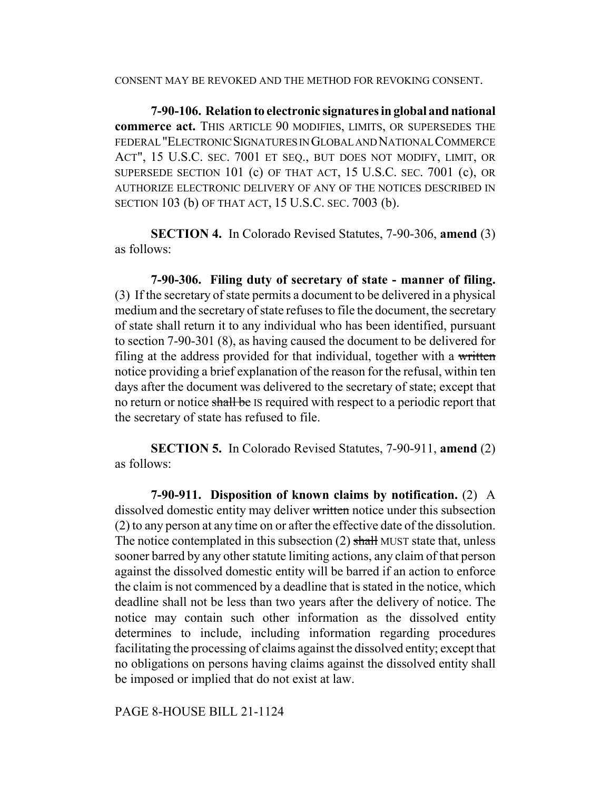CONSENT MAY BE REVOKED AND THE METHOD FOR REVOKING CONSENT.

**7-90-106. Relation to electronic signatures in global and national commerce act.** THIS ARTICLE 90 MODIFIES, LIMITS, OR SUPERSEDES THE FEDERAL "ELECTRONIC SIGNATURES IN GLOBAL AND NATIONAL COMMERCE ACT", 15 U.S.C. SEC. 7001 ET SEQ., BUT DOES NOT MODIFY, LIMIT, OR SUPERSEDE SECTION 101 (c) OF THAT ACT, 15 U.S.C. SEC. 7001 (c), OR AUTHORIZE ELECTRONIC DELIVERY OF ANY OF THE NOTICES DESCRIBED IN SECTION 103 (b) OF THAT ACT, 15 U.S.C. SEC. 7003 (b).

**SECTION 4.** In Colorado Revised Statutes, 7-90-306, **amend** (3) as follows:

**7-90-306. Filing duty of secretary of state - manner of filing.** (3) If the secretary of state permits a document to be delivered in a physical medium and the secretary of state refuses to file the document, the secretary of state shall return it to any individual who has been identified, pursuant to section 7-90-301 (8), as having caused the document to be delivered for filing at the address provided for that individual, together with a written notice providing a brief explanation of the reason for the refusal, within ten days after the document was delivered to the secretary of state; except that no return or notice shall be IS required with respect to a periodic report that the secretary of state has refused to file.

**SECTION 5.** In Colorado Revised Statutes, 7-90-911, **amend** (2) as follows:

**7-90-911. Disposition of known claims by notification.** (2) A dissolved domestic entity may deliver written notice under this subsection (2) to any person at any time on or after the effective date of the dissolution. The notice contemplated in this subsection  $(2)$  shall MUST state that, unless sooner barred by any other statute limiting actions, any claim of that person against the dissolved domestic entity will be barred if an action to enforce the claim is not commenced by a deadline that is stated in the notice, which deadline shall not be less than two years after the delivery of notice. The notice may contain such other information as the dissolved entity determines to include, including information regarding procedures facilitating the processing of claims against the dissolved entity; except that no obligations on persons having claims against the dissolved entity shall be imposed or implied that do not exist at law.

PAGE 8-HOUSE BILL 21-1124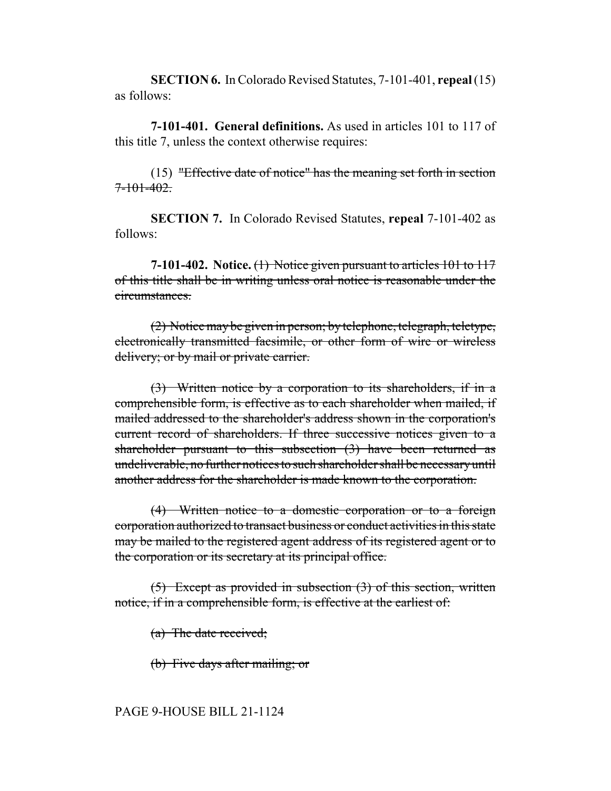**SECTION 6.** In Colorado Revised Statutes, 7-101-401, **repeal** (15) as follows:

**7-101-401. General definitions.** As used in articles 101 to 117 of this title 7, unless the context otherwise requires:

(15) "Effective date of notice" has the meaning set forth in section  $7 - 101 - 402$ 

**SECTION 7.** In Colorado Revised Statutes, **repeal** 7-101-402 as follows:

**7-101-402. Notice.** (1) Notice given pursuant to articles 101 to 117 of this title shall be in writing unless oral notice is reasonable under the circumstances.

(2) Notice may be given in person; by telephone, telegraph, teletype, electronically transmitted facsimile, or other form of wire or wireless delivery; or by mail or private carrier.

(3) Written notice by a corporation to its shareholders, if in a comprehensible form, is effective as to each shareholder when mailed, if mailed addressed to the shareholder's address shown in the corporation's current record of shareholders. If three successive notices given to a shareholder pursuant to this subsection (3) have been returned as undeliverable, no further notices to such shareholder shall be necessary until another address for the shareholder is made known to the corporation.

(4) Written notice to a domestic corporation or to a foreign corporation authorized to transact business or conduct activities in this state may be mailed to the registered agent address of its registered agent or to the corporation or its secretary at its principal office.

(5) Except as provided in subsection (3) of this section, written notice, if in a comprehensible form, is effective at the earliest of:

(a) The date received;

(b) Five days after mailing; or

#### PAGE 9-HOUSE BILL 21-1124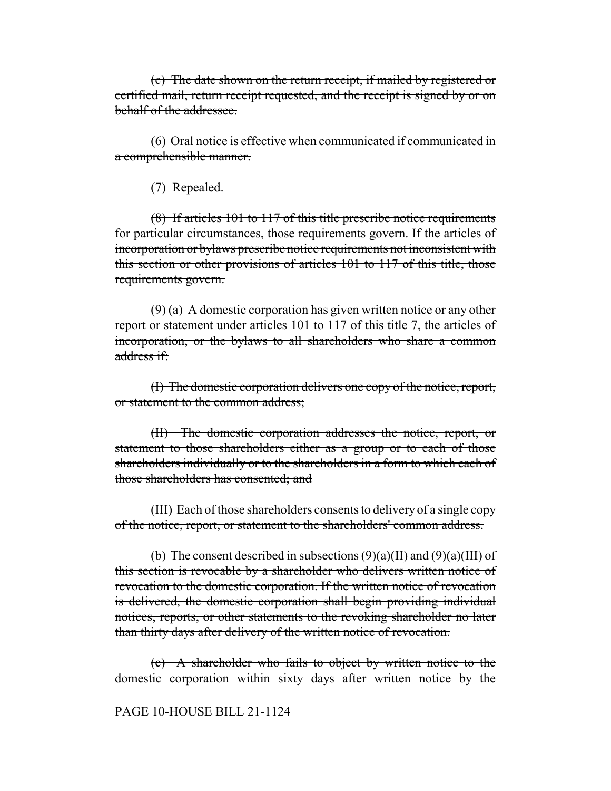(c) The date shown on the return receipt, if mailed by registered or certified mail, return receipt requested, and the receipt is signed by or on behalf of the addressee.

(6) Oral notice is effective when communicated if communicated in a comprehensible manner.

(7) Repealed.

(8) If articles 101 to 117 of this title prescribe notice requirements for particular circumstances, those requirements govern. If the articles of incorporation or bylaws prescribe notice requirements not inconsistent with this section or other provisions of articles 101 to 117 of this title, those requirements govern.

 $(9)$  (a) A domestic corporation has given written notice or any other report or statement under articles 101 to 117 of this title 7, the articles of incorporation, or the bylaws to all shareholders who share a common address if:

(I) The domestic corporation delivers one copy of the notice, report, or statement to the common address;

(II) The domestic corporation addresses the notice, report, or statement to those shareholders either as a group or to each of those shareholders individually or to the shareholders in a form to which each of those shareholders has consented; and

(III) Each of those shareholders consents to delivery of a single copy of the notice, report, or statement to the shareholders' common address.

(b) The consent described in subsections  $(9)(a)(H)$  and  $(9)(a)(HH)$  of this section is revocable by a shareholder who delivers written notice of revocation to the domestic corporation. If the written notice of revocation is delivered, the domestic corporation shall begin providing individual notices, reports, or other statements to the revoking shareholder no later than thirty days after delivery of the written notice of revocation.

(c) A shareholder who fails to object by written notice to the domestic corporation within sixty days after written notice by the

## PAGE 10-HOUSE BILL 21-1124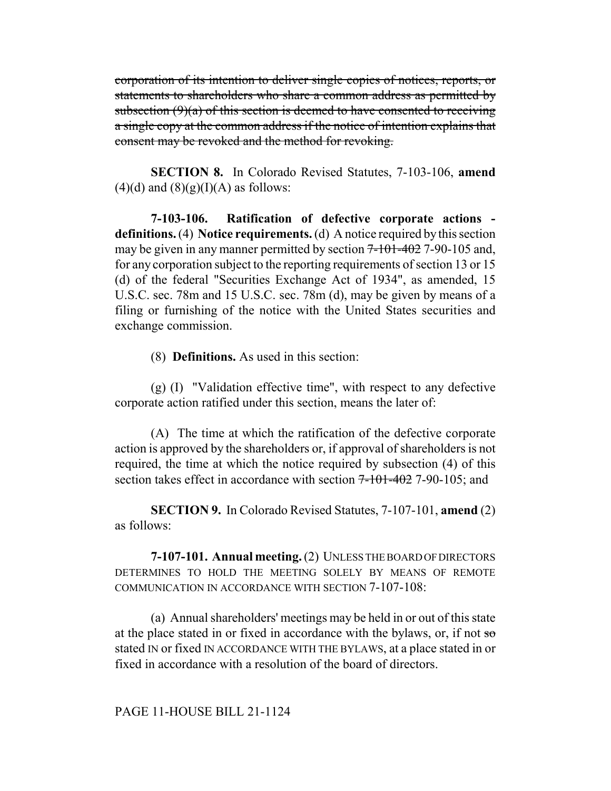corporation of its intention to deliver single copies of notices, reports, or statements to shareholders who share a common address as permitted by subsection  $(9)(a)$  of this section is deemed to have consented to receiving a single copy at the common address if the notice of intention explains that consent may be revoked and the method for revoking.

**SECTION 8.** In Colorado Revised Statutes, 7-103-106, **amend**  $(4)(d)$  and  $(8)(g)(I)(A)$  as follows:

**7-103-106. Ratification of defective corporate actions definitions.** (4) **Notice requirements.** (d) A notice required by this section may be given in any manner permitted by section  $7-101-402$  7-90-105 and, for any corporation subject to the reporting requirements of section 13 or 15 (d) of the federal "Securities Exchange Act of 1934", as amended, 15 U.S.C. sec. 78m and 15 U.S.C. sec. 78m (d), may be given by means of a filing or furnishing of the notice with the United States securities and exchange commission.

(8) **Definitions.** As used in this section:

(g) (I) "Validation effective time", with respect to any defective corporate action ratified under this section, means the later of:

(A) The time at which the ratification of the defective corporate action is approved by the shareholders or, if approval of shareholders is not required, the time at which the notice required by subsection (4) of this section takes effect in accordance with section  $7-101-402$  7-90-105; and

**SECTION 9.** In Colorado Revised Statutes, 7-107-101, **amend** (2) as follows:

**7-107-101. Annual meeting.** (2) UNLESS THE BOARD OF DIRECTORS DETERMINES TO HOLD THE MEETING SOLELY BY MEANS OF REMOTE COMMUNICATION IN ACCORDANCE WITH SECTION 7-107-108:

(a) Annual shareholders' meetings may be held in or out of this state at the place stated in or fixed in accordance with the bylaws, or, if not so stated IN or fixed IN ACCORDANCE WITH THE BYLAWS, at a place stated in or fixed in accordance with a resolution of the board of directors.

PAGE 11-HOUSE BILL 21-1124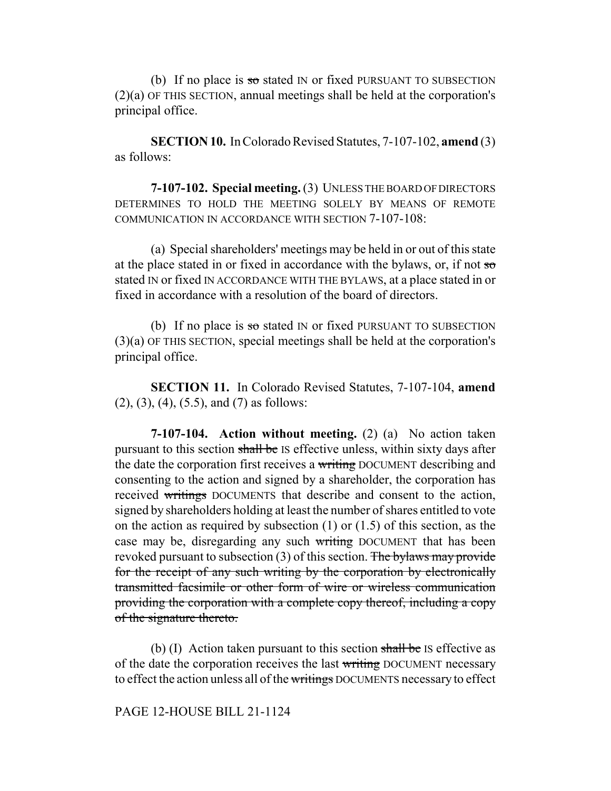(b) If no place is so stated IN or fixed PURSUANT TO SUBSECTION (2)(a) OF THIS SECTION, annual meetings shall be held at the corporation's principal office.

**SECTION 10.** In Colorado Revised Statutes, 7-107-102, **amend** (3) as follows:

**7-107-102. Special meeting.** (3) UNLESS THE BOARD OF DIRECTORS DETERMINES TO HOLD THE MEETING SOLELY BY MEANS OF REMOTE COMMUNICATION IN ACCORDANCE WITH SECTION 7-107-108:

(a) Special shareholders' meetings may be held in or out of this state at the place stated in or fixed in accordance with the bylaws, or, if not so stated IN or fixed IN ACCORDANCE WITH THE BYLAWS, at a place stated in or fixed in accordance with a resolution of the board of directors.

(b) If no place is so stated IN or fixed PURSUANT TO SUBSECTION (3)(a) OF THIS SECTION, special meetings shall be held at the corporation's principal office.

**SECTION 11.** In Colorado Revised Statutes, 7-107-104, **amend** (2), (3), (4), (5.5), and (7) as follows:

**7-107-104. Action without meeting.** (2) (a) No action taken pursuant to this section shall be IS effective unless, within sixty days after the date the corporation first receives a writing DOCUMENT describing and consenting to the action and signed by a shareholder, the corporation has received writings DOCUMENTS that describe and consent to the action, signed by shareholders holding at least the number of shares entitled to vote on the action as required by subsection (1) or (1.5) of this section, as the case may be, disregarding any such writing DOCUMENT that has been revoked pursuant to subsection  $(3)$  of this section. The bylaws may provide for the receipt of any such writing by the corporation by electronically transmitted facsimile or other form of wire or wireless communication providing the corporation with a complete copy thereof, including a copy of the signature thereto.

(b) (I) Action taken pursuant to this section  $\frac{1}{\text{shell}}$  be IS effective as of the date the corporation receives the last writing DOCUMENT necessary to effect the action unless all of the writings DOCUMENTS necessary to effect

PAGE 12-HOUSE BILL 21-1124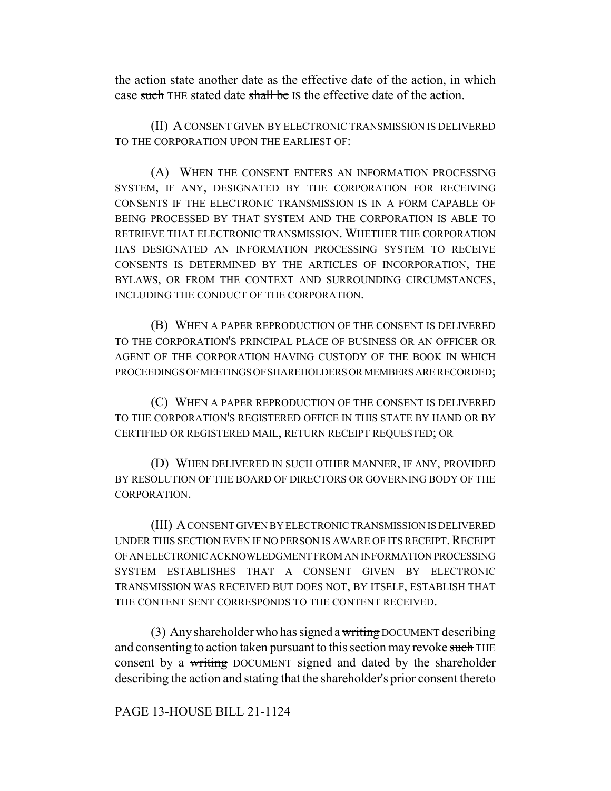the action state another date as the effective date of the action, in which case such THE stated date shall be IS the effective date of the action.

(II) A CONSENT GIVEN BY ELECTRONIC TRANSMISSION IS DELIVERED TO THE CORPORATION UPON THE EARLIEST OF:

(A) WHEN THE CONSENT ENTERS AN INFORMATION PROCESSING SYSTEM, IF ANY, DESIGNATED BY THE CORPORATION FOR RECEIVING CONSENTS IF THE ELECTRONIC TRANSMISSION IS IN A FORM CAPABLE OF BEING PROCESSED BY THAT SYSTEM AND THE CORPORATION IS ABLE TO RETRIEVE THAT ELECTRONIC TRANSMISSION. WHETHER THE CORPORATION HAS DESIGNATED AN INFORMATION PROCESSING SYSTEM TO RECEIVE CONSENTS IS DETERMINED BY THE ARTICLES OF INCORPORATION, THE BYLAWS, OR FROM THE CONTEXT AND SURROUNDING CIRCUMSTANCES, INCLUDING THE CONDUCT OF THE CORPORATION.

(B) WHEN A PAPER REPRODUCTION OF THE CONSENT IS DELIVERED TO THE CORPORATION'S PRINCIPAL PLACE OF BUSINESS OR AN OFFICER OR AGENT OF THE CORPORATION HAVING CUSTODY OF THE BOOK IN WHICH PROCEEDINGS OF MEETINGS OF SHAREHOLDERS OR MEMBERS ARE RECORDED;

(C) WHEN A PAPER REPRODUCTION OF THE CONSENT IS DELIVERED TO THE CORPORATION'S REGISTERED OFFICE IN THIS STATE BY HAND OR BY CERTIFIED OR REGISTERED MAIL, RETURN RECEIPT REQUESTED; OR

(D) WHEN DELIVERED IN SUCH OTHER MANNER, IF ANY, PROVIDED BY RESOLUTION OF THE BOARD OF DIRECTORS OR GOVERNING BODY OF THE CORPORATION.

(III) A CONSENT GIVEN BY ELECTRONIC TRANSMISSION IS DELIVERED UNDER THIS SECTION EVEN IF NO PERSON IS AWARE OF ITS RECEIPT. RECEIPT OF AN ELECTRONIC ACKNOWLEDGMENT FROM AN INFORMATION PROCESSING SYSTEM ESTABLISHES THAT A CONSENT GIVEN BY ELECTRONIC TRANSMISSION WAS RECEIVED BUT DOES NOT, BY ITSELF, ESTABLISH THAT THE CONTENT SENT CORRESPONDS TO THE CONTENT RECEIVED.

(3) Any shareholder who has signed a writing DOCUMENT describing and consenting to action taken pursuant to this section may revoke such THE consent by a writing DOCUMENT signed and dated by the shareholder describing the action and stating that the shareholder's prior consent thereto

## PAGE 13-HOUSE BILL 21-1124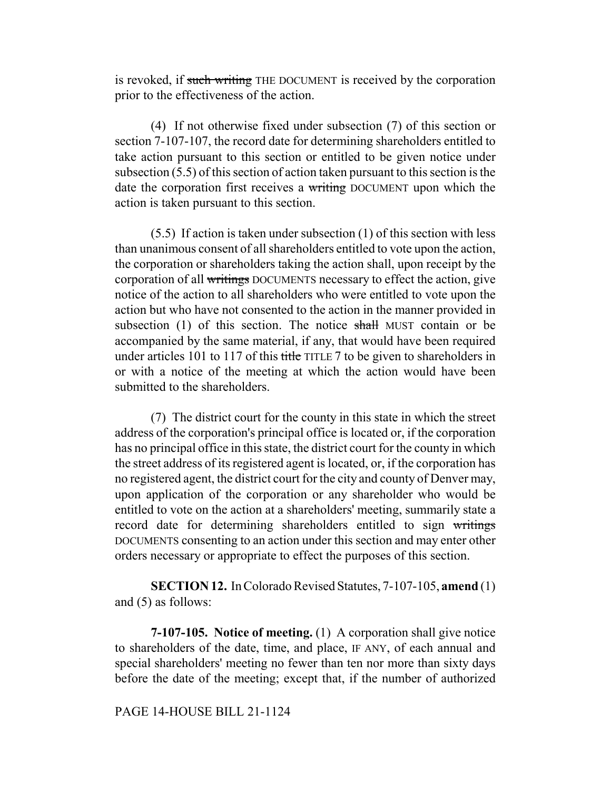is revoked, if such writing THE DOCUMENT is received by the corporation prior to the effectiveness of the action.

(4) If not otherwise fixed under subsection (7) of this section or section 7-107-107, the record date for determining shareholders entitled to take action pursuant to this section or entitled to be given notice under subsection (5.5) of this section of action taken pursuant to this section is the date the corporation first receives a writing DOCUMENT upon which the action is taken pursuant to this section.

(5.5) If action is taken under subsection (1) of this section with less than unanimous consent of all shareholders entitled to vote upon the action, the corporation or shareholders taking the action shall, upon receipt by the corporation of all writings DOCUMENTS necessary to effect the action, give notice of the action to all shareholders who were entitled to vote upon the action but who have not consented to the action in the manner provided in subsection (1) of this section. The notice shall MUST contain or be accompanied by the same material, if any, that would have been required under articles 101 to 117 of this title TITLE 7 to be given to shareholders in or with a notice of the meeting at which the action would have been submitted to the shareholders.

(7) The district court for the county in this state in which the street address of the corporation's principal office is located or, if the corporation has no principal office in this state, the district court for the county in which the street address of its registered agent is located, or, if the corporation has no registered agent, the district court for the city and county of Denver may, upon application of the corporation or any shareholder who would be entitled to vote on the action at a shareholders' meeting, summarily state a record date for determining shareholders entitled to sign writings DOCUMENTS consenting to an action under this section and may enter other orders necessary or appropriate to effect the purposes of this section.

**SECTION 12.** In Colorado Revised Statutes, 7-107-105, **amend** (1) and (5) as follows:

**7-107-105. Notice of meeting.** (1) A corporation shall give notice to shareholders of the date, time, and place, IF ANY, of each annual and special shareholders' meeting no fewer than ten nor more than sixty days before the date of the meeting; except that, if the number of authorized

### PAGE 14-HOUSE BILL 21-1124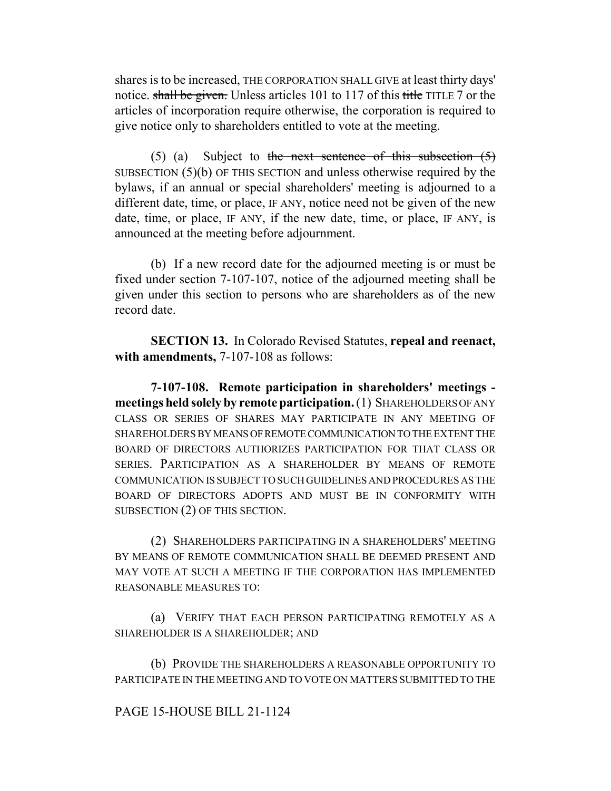shares is to be increased, THE CORPORATION SHALL GIVE at least thirty days' notice. shall be given. Unless articles 101 to 117 of this title TITLE 7 or the articles of incorporation require otherwise, the corporation is required to give notice only to shareholders entitled to vote at the meeting.

(5) (a) Subject to the next sentence of this subsection  $(5)$ SUBSECTION (5)(b) OF THIS SECTION and unless otherwise required by the bylaws, if an annual or special shareholders' meeting is adjourned to a different date, time, or place, IF ANY, notice need not be given of the new date, time, or place, IF ANY, if the new date, time, or place, IF ANY, is announced at the meeting before adjournment.

(b) If a new record date for the adjourned meeting is or must be fixed under section 7-107-107, notice of the adjourned meeting shall be given under this section to persons who are shareholders as of the new record date.

**SECTION 13.** In Colorado Revised Statutes, **repeal and reenact, with amendments,** 7-107-108 as follows:

**7-107-108. Remote participation in shareholders' meetings meetings held solely by remote participation.** (1) SHAREHOLDERS OF ANY CLASS OR SERIES OF SHARES MAY PARTICIPATE IN ANY MEETING OF SHAREHOLDERS BY MEANS OF REMOTE COMMUNICATION TO THE EXTENT THE BOARD OF DIRECTORS AUTHORIZES PARTICIPATION FOR THAT CLASS OR SERIES. PARTICIPATION AS A SHAREHOLDER BY MEANS OF REMOTE COMMUNICATION IS SUBJECT TO SUCH GUIDELINES AND PROCEDURES AS THE BOARD OF DIRECTORS ADOPTS AND MUST BE IN CONFORMITY WITH SUBSECTION (2) OF THIS SECTION.

(2) SHAREHOLDERS PARTICIPATING IN A SHAREHOLDERS' MEETING BY MEANS OF REMOTE COMMUNICATION SHALL BE DEEMED PRESENT AND MAY VOTE AT SUCH A MEETING IF THE CORPORATION HAS IMPLEMENTED REASONABLE MEASURES TO:

(a) VERIFY THAT EACH PERSON PARTICIPATING REMOTELY AS A SHAREHOLDER IS A SHAREHOLDER; AND

(b) PROVIDE THE SHAREHOLDERS A REASONABLE OPPORTUNITY TO PARTICIPATE IN THE MEETING AND TO VOTE ON MATTERS SUBMITTED TO THE

# PAGE 15-HOUSE BILL 21-1124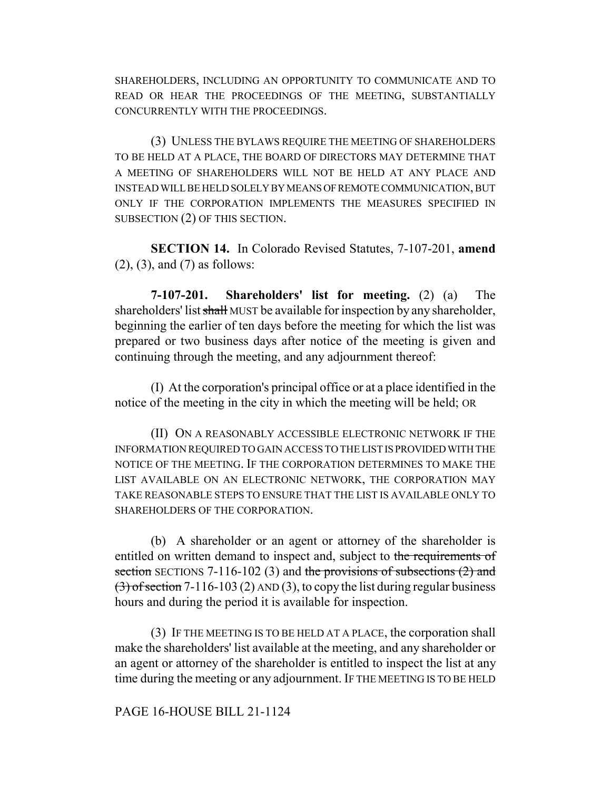SHAREHOLDERS, INCLUDING AN OPPORTUNITY TO COMMUNICATE AND TO READ OR HEAR THE PROCEEDINGS OF THE MEETING, SUBSTANTIALLY CONCURRENTLY WITH THE PROCEEDINGS.

(3) UNLESS THE BYLAWS REQUIRE THE MEETING OF SHAREHOLDERS TO BE HELD AT A PLACE, THE BOARD OF DIRECTORS MAY DETERMINE THAT A MEETING OF SHAREHOLDERS WILL NOT BE HELD AT ANY PLACE AND INSTEAD WILL BE HELD SOLELY BY MEANS OF REMOTE COMMUNICATION, BUT ONLY IF THE CORPORATION IMPLEMENTS THE MEASURES SPECIFIED IN SUBSECTION (2) OF THIS SECTION.

**SECTION 14.** In Colorado Revised Statutes, 7-107-201, **amend** (2), (3), and (7) as follows:

**7-107-201. Shareholders' list for meeting.** (2) (a) The shareholders' list shall MUST be available for inspection by any shareholder, beginning the earlier of ten days before the meeting for which the list was prepared or two business days after notice of the meeting is given and continuing through the meeting, and any adjournment thereof:

(I) At the corporation's principal office or at a place identified in the notice of the meeting in the city in which the meeting will be held; OR

(II) ON A REASONABLY ACCESSIBLE ELECTRONIC NETWORK IF THE INFORMATION REQUIRED TO GAIN ACCESS TO THE LIST IS PROVIDED WITH THE NOTICE OF THE MEETING. IF THE CORPORATION DETERMINES TO MAKE THE LIST AVAILABLE ON AN ELECTRONIC NETWORK, THE CORPORATION MAY TAKE REASONABLE STEPS TO ENSURE THAT THE LIST IS AVAILABLE ONLY TO SHAREHOLDERS OF THE CORPORATION.

(b) A shareholder or an agent or attorney of the shareholder is entitled on written demand to inspect and, subject to the requirements of section SECTIONS 7-116-102 (3) and the provisions of subsections  $(2)$  and  $(3)$  of section 7-116-103 (2) AND (3), to copy the list during regular business hours and during the period it is available for inspection.

(3) IF THE MEETING IS TO BE HELD AT A PLACE, the corporation shall make the shareholders' list available at the meeting, and any shareholder or an agent or attorney of the shareholder is entitled to inspect the list at any time during the meeting or any adjournment. IF THE MEETING IS TO BE HELD

### PAGE 16-HOUSE BILL 21-1124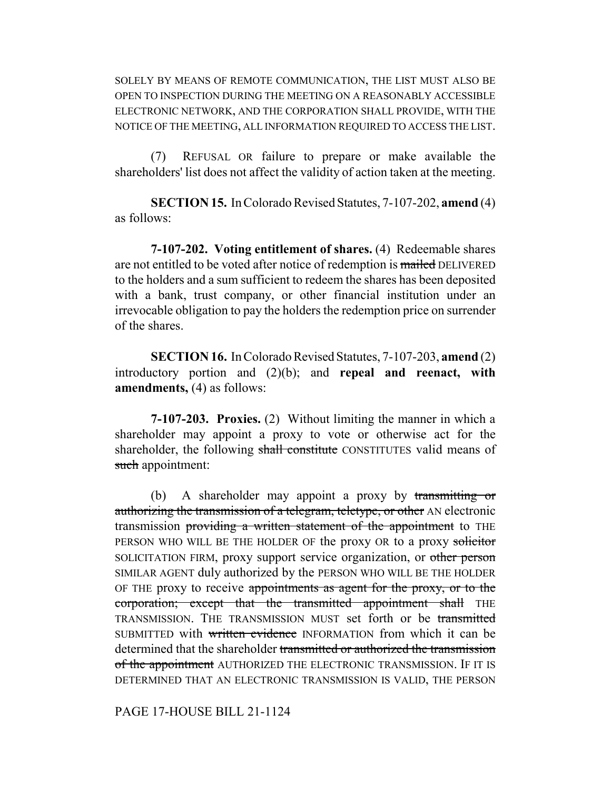SOLELY BY MEANS OF REMOTE COMMUNICATION, THE LIST MUST ALSO BE OPEN TO INSPECTION DURING THE MEETING ON A REASONABLY ACCESSIBLE ELECTRONIC NETWORK, AND THE CORPORATION SHALL PROVIDE, WITH THE NOTICE OF THE MEETING, ALL INFORMATION REQUIRED TO ACCESS THE LIST.

(7) REFUSAL OR failure to prepare or make available the shareholders' list does not affect the validity of action taken at the meeting.

**SECTION 15.** In Colorado Revised Statutes, 7-107-202, **amend** (4) as follows:

**7-107-202. Voting entitlement of shares.** (4) Redeemable shares are not entitled to be voted after notice of redemption is mailed DELIVERED to the holders and a sum sufficient to redeem the shares has been deposited with a bank, trust company, or other financial institution under an irrevocable obligation to pay the holders the redemption price on surrender of the shares.

**SECTION 16.** In Colorado Revised Statutes, 7-107-203, **amend** (2) introductory portion and (2)(b); and **repeal and reenact, with amendments,** (4) as follows:

**7-107-203. Proxies.** (2) Without limiting the manner in which a shareholder may appoint a proxy to vote or otherwise act for the shareholder, the following shall constitute CONSTITUTES valid means of such appointment:

(b) A shareholder may appoint a proxy by transmitting or authorizing the transmission of a telegram, teletype, or other AN electronic transmission providing a written statement of the appointment to THE PERSON WHO WILL BE THE HOLDER OF the proxy OR to a proxy solicitor SOLICITATION FIRM, proxy support service organization, or other person SIMILAR AGENT duly authorized by the PERSON WHO WILL BE THE HOLDER OF THE proxy to receive appointments as agent for the proxy, or to the corporation; except that the transmitted appointment shall THE TRANSMISSION. THE TRANSMISSION MUST set forth or be transmitted SUBMITTED with written evidence INFORMATION from which it can be determined that the shareholder transmitted or authorized the transmission of the appointment AUTHORIZED THE ELECTRONIC TRANSMISSION. IF IT IS DETERMINED THAT AN ELECTRONIC TRANSMISSION IS VALID, THE PERSON

PAGE 17-HOUSE BILL 21-1124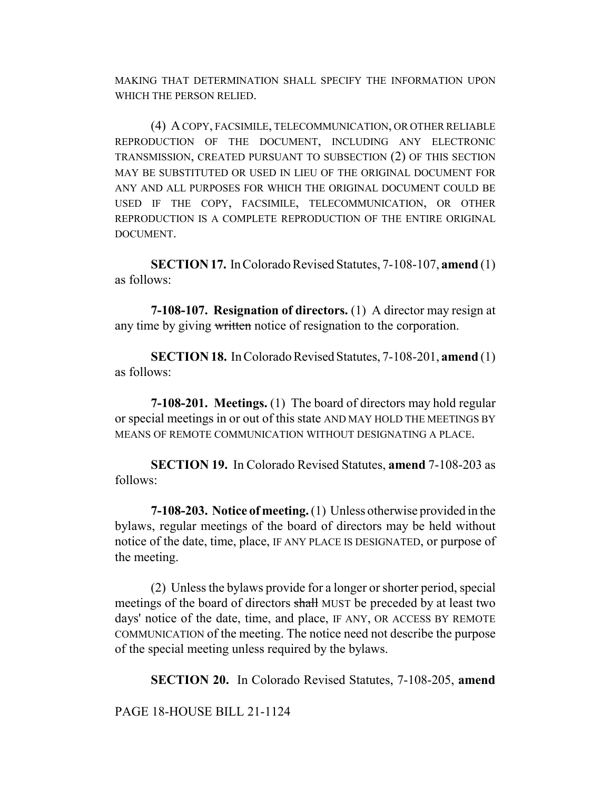MAKING THAT DETERMINATION SHALL SPECIFY THE INFORMATION UPON WHICH THE PERSON RELIED.

(4) A COPY, FACSIMILE, TELECOMMUNICATION, OR OTHER RELIABLE REPRODUCTION OF THE DOCUMENT, INCLUDING ANY ELECTRONIC TRANSMISSION, CREATED PURSUANT TO SUBSECTION (2) OF THIS SECTION MAY BE SUBSTITUTED OR USED IN LIEU OF THE ORIGINAL DOCUMENT FOR ANY AND ALL PURPOSES FOR WHICH THE ORIGINAL DOCUMENT COULD BE USED IF THE COPY, FACSIMILE, TELECOMMUNICATION, OR OTHER REPRODUCTION IS A COMPLETE REPRODUCTION OF THE ENTIRE ORIGINAL DOCUMENT.

**SECTION 17.** In Colorado Revised Statutes, 7-108-107, **amend** (1) as follows:

**7-108-107. Resignation of directors.** (1) A director may resign at any time by giving written notice of resignation to the corporation.

**SECTION 18.** In Colorado Revised Statutes, 7-108-201, **amend** (1) as follows:

**7-108-201. Meetings.** (1) The board of directors may hold regular or special meetings in or out of this state AND MAY HOLD THE MEETINGS BY MEANS OF REMOTE COMMUNICATION WITHOUT DESIGNATING A PLACE.

**SECTION 19.** In Colorado Revised Statutes, **amend** 7-108-203 as follows:

**7-108-203. Notice of meeting.** (1) Unless otherwise provided in the bylaws, regular meetings of the board of directors may be held without notice of the date, time, place, IF ANY PLACE IS DESIGNATED, or purpose of the meeting.

(2) Unless the bylaws provide for a longer or shorter period, special meetings of the board of directors shall MUST be preceded by at least two days' notice of the date, time, and place, IF ANY, OR ACCESS BY REMOTE COMMUNICATION of the meeting. The notice need not describe the purpose of the special meeting unless required by the bylaws.

**SECTION 20.** In Colorado Revised Statutes, 7-108-205, **amend**

PAGE 18-HOUSE BILL 21-1124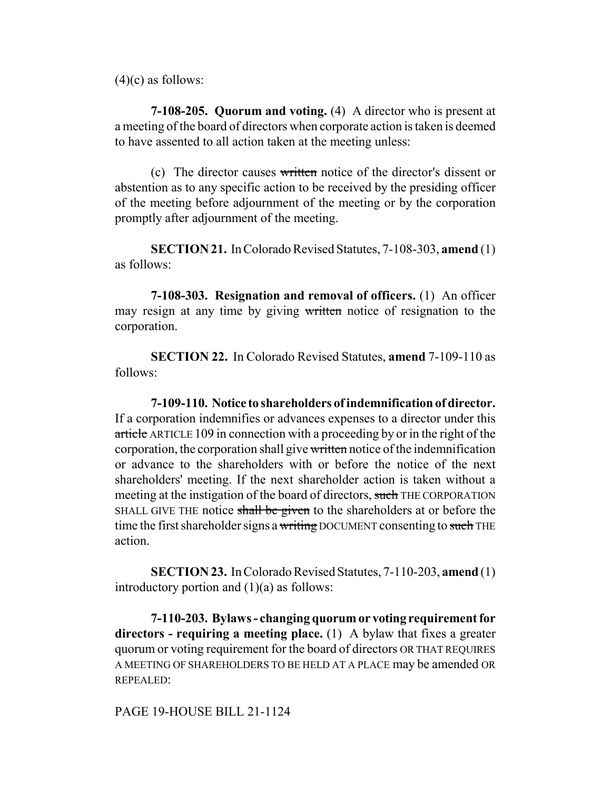$(4)(c)$  as follows:

**7-108-205. Quorum and voting.** (4) A director who is present at a meeting of the board of directors when corporate action is taken is deemed to have assented to all action taken at the meeting unless:

(c) The director causes written notice of the director's dissent or abstention as to any specific action to be received by the presiding officer of the meeting before adjournment of the meeting or by the corporation promptly after adjournment of the meeting.

**SECTION 21.** In Colorado Revised Statutes, 7-108-303, **amend** (1) as follows:

**7-108-303. Resignation and removal of officers.** (1) An officer may resign at any time by giving written notice of resignation to the corporation.

**SECTION 22.** In Colorado Revised Statutes, **amend** 7-109-110 as follows:

**7-109-110. Notice to shareholders of indemnification of director.** If a corporation indemnifies or advances expenses to a director under this article ARTICLE 109 in connection with a proceeding by or in the right of the corporation, the corporation shall give written notice of the indemnification or advance to the shareholders with or before the notice of the next shareholders' meeting. If the next shareholder action is taken without a meeting at the instigation of the board of directors, such THE CORPORATION SHALL GIVE THE notice shall be given to the shareholders at or before the time the first shareholder signs a writing DOCUMENT consenting to such THE action.

**SECTION 23.** In Colorado Revised Statutes, 7-110-203, **amend** (1) introductory portion and  $(1)(a)$  as follows:

**7-110-203. Bylaws - changing quorum or voting requirement for directors - requiring a meeting place.** (1) A bylaw that fixes a greater quorum or voting requirement for the board of directors OR THAT REQUIRES A MEETING OF SHAREHOLDERS TO BE HELD AT A PLACE may be amended OR REPEALED:

PAGE 19-HOUSE BILL 21-1124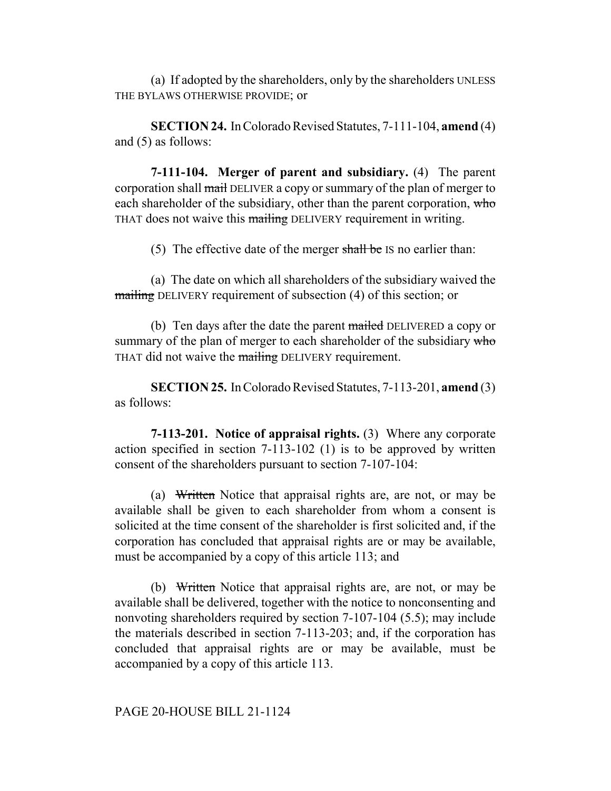(a) If adopted by the shareholders, only by the shareholders UNLESS THE BYLAWS OTHERWISE PROVIDE; or

**SECTION 24.** In Colorado Revised Statutes, 7-111-104, **amend** (4) and (5) as follows:

**7-111-104. Merger of parent and subsidiary.** (4) The parent corporation shall mail DELIVER a copy or summary of the plan of merger to each shareholder of the subsidiary, other than the parent corporation, who THAT does not waive this mailing DELIVERY requirement in writing.

(5) The effective date of the merger shall be IS no earlier than:

(a) The date on which all shareholders of the subsidiary waived the mailing DELIVERY requirement of subsection (4) of this section; or

(b) Ten days after the date the parent mailed DELIVERED a copy or summary of the plan of merger to each shareholder of the subsidiary who THAT did not waive the mailing DELIVERY requirement.

**SECTION 25.** In Colorado Revised Statutes, 7-113-201, **amend** (3) as follows:

**7-113-201. Notice of appraisal rights.** (3) Where any corporate action specified in section 7-113-102 (1) is to be approved by written consent of the shareholders pursuant to section 7-107-104:

(a) Written Notice that appraisal rights are, are not, or may be available shall be given to each shareholder from whom a consent is solicited at the time consent of the shareholder is first solicited and, if the corporation has concluded that appraisal rights are or may be available, must be accompanied by a copy of this article 113; and

(b) Written Notice that appraisal rights are, are not, or may be available shall be delivered, together with the notice to nonconsenting and nonvoting shareholders required by section 7-107-104 (5.5); may include the materials described in section 7-113-203; and, if the corporation has concluded that appraisal rights are or may be available, must be accompanied by a copy of this article 113.

## PAGE 20-HOUSE BILL 21-1124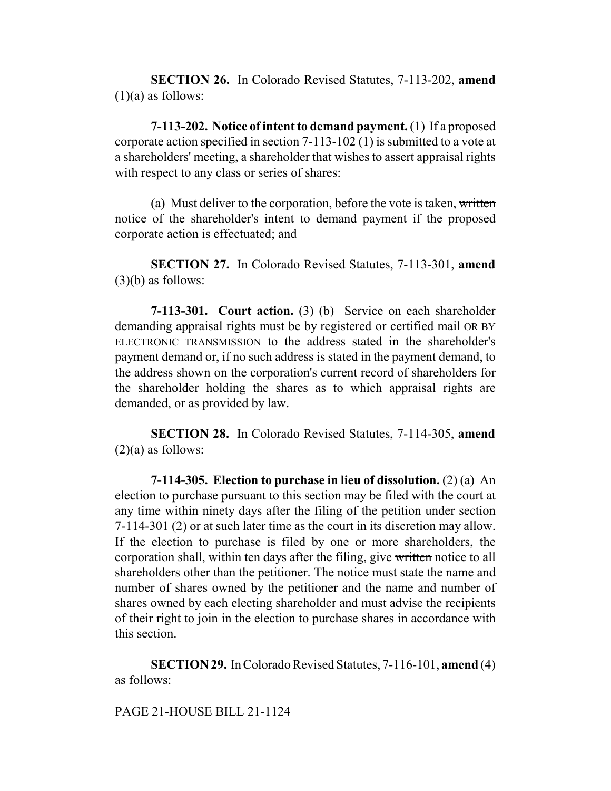**SECTION 26.** In Colorado Revised Statutes, 7-113-202, **amend**  $(1)(a)$  as follows:

**7-113-202. Notice of intent to demand payment.** (1) If a proposed corporate action specified in section 7-113-102 (1) is submitted to a vote at a shareholders' meeting, a shareholder that wishes to assert appraisal rights with respect to any class or series of shares:

(a) Must deliver to the corporation, before the vote is taken, written notice of the shareholder's intent to demand payment if the proposed corporate action is effectuated; and

**SECTION 27.** In Colorado Revised Statutes, 7-113-301, **amend**  $(3)(b)$  as follows:

**7-113-301. Court action.** (3) (b) Service on each shareholder demanding appraisal rights must be by registered or certified mail OR BY ELECTRONIC TRANSMISSION to the address stated in the shareholder's payment demand or, if no such address is stated in the payment demand, to the address shown on the corporation's current record of shareholders for the shareholder holding the shares as to which appraisal rights are demanded, or as provided by law.

**SECTION 28.** In Colorado Revised Statutes, 7-114-305, **amend**  $(2)(a)$  as follows:

**7-114-305. Election to purchase in lieu of dissolution.** (2) (a) An election to purchase pursuant to this section may be filed with the court at any time within ninety days after the filing of the petition under section 7-114-301 (2) or at such later time as the court in its discretion may allow. If the election to purchase is filed by one or more shareholders, the corporation shall, within ten days after the filing, give written notice to all shareholders other than the petitioner. The notice must state the name and number of shares owned by the petitioner and the name and number of shares owned by each electing shareholder and must advise the recipients of their right to join in the election to purchase shares in accordance with this section.

**SECTION 29.** In Colorado Revised Statutes, 7-116-101, **amend** (4) as follows:

PAGE 21-HOUSE BILL 21-1124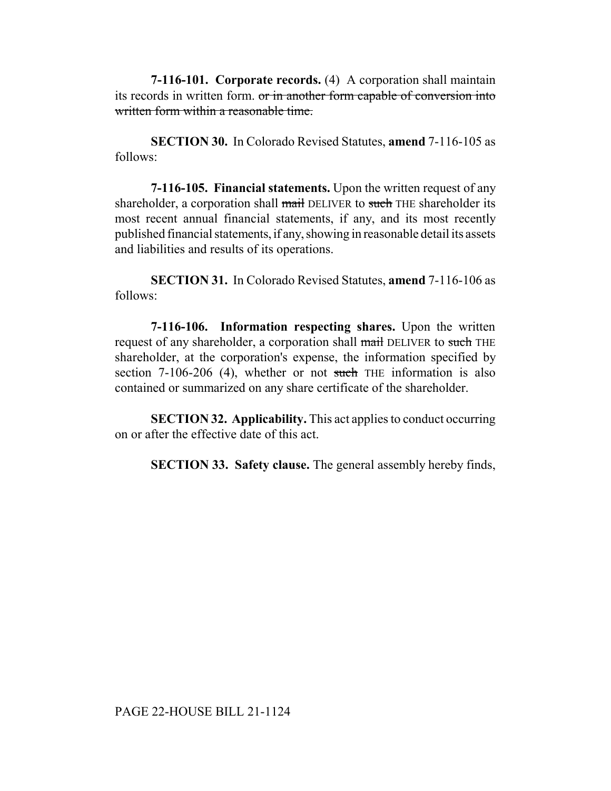**7-116-101. Corporate records.** (4) A corporation shall maintain its records in written form. or in another form capable of conversion into written form within a reasonable time.

**SECTION 30.** In Colorado Revised Statutes, **amend** 7-116-105 as follows:

**7-116-105. Financial statements.** Upon the written request of any shareholder, a corporation shall mail DELIVER to such THE shareholder its most recent annual financial statements, if any, and its most recently published financial statements, if any, showing in reasonable detail its assets and liabilities and results of its operations.

**SECTION 31.** In Colorado Revised Statutes, **amend** 7-116-106 as follows:

**7-116-106. Information respecting shares.** Upon the written request of any shareholder, a corporation shall mail DELIVER to such THE shareholder, at the corporation's expense, the information specified by section 7-106-206 (4), whether or not such THE information is also contained or summarized on any share certificate of the shareholder.

**SECTION 32. Applicability.** This act applies to conduct occurring on or after the effective date of this act.

**SECTION 33. Safety clause.** The general assembly hereby finds,